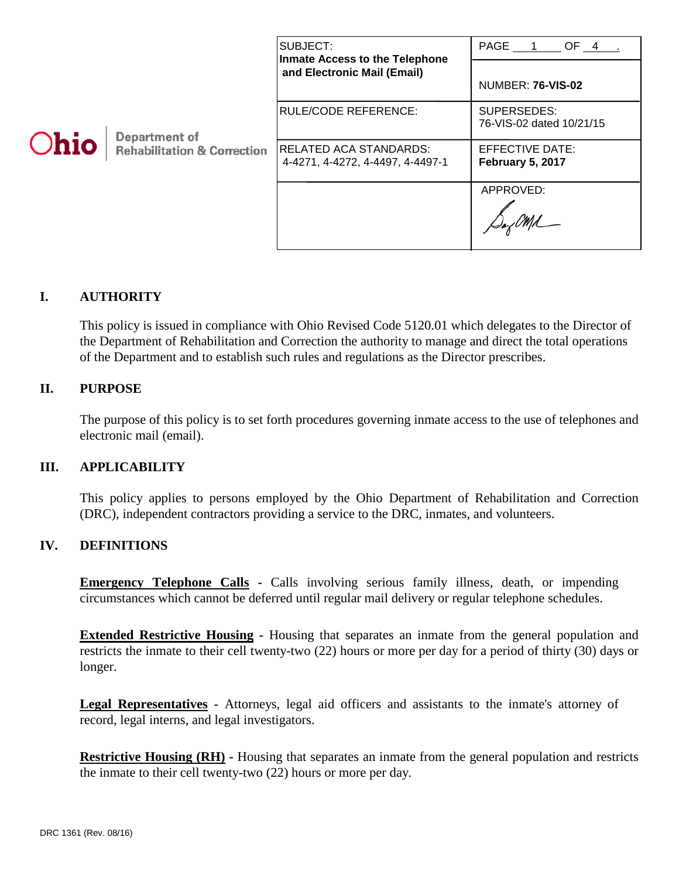| Department of<br><b>Ohio</b><br><b>Rehabilitation &amp; Correction</b> | SUBJECT:<br>Inmate Access to the Telephone<br>and Electronic Mail (Email) | PAGE 1 OF 4                             |
|------------------------------------------------------------------------|---------------------------------------------------------------------------|-----------------------------------------|
|                                                                        |                                                                           | <b>NUMBER: 76-VIS-02</b>                |
|                                                                        | <b>RULE/CODE REFERENCE:</b>                                               | SUPERSEDES:<br>76-VIS-02 dated 10/21/15 |
|                                                                        | RELATED ACA STANDARDS:<br>4-4271, 4-4272, 4-4497, 4-4497-1                | EFFECTIVE DATE:<br>February 5, 2017     |
|                                                                        |                                                                           | APPROVED:                               |

# **I. AUTHORITY**

This policy is issued in compliance with Ohio Revised Code 5120.01 which delegates to the Director of the Department of Rehabilitation and Correction the authority to manage and direct the total operations of the Department and to establish such rules and regulations as the Director prescribes.

### **II. PURPOSE**

The purpose of this policy is to set forth procedures governing inmate access to the use of telephones and electronic mail (email).

#### **III. APPLICABILITY**

This policy applies to persons employed by the Ohio Department of Rehabilitation and Correction (DRC), independent contractors providing a service to the DRC, inmates, and volunteers.

#### **IV. DEFINITIONS**

**Emergency Telephone Calls -** Calls involving serious family illness, death, or impending circumstances which cannot be deferred until regular mail delivery or regular telephone schedules.

**Extended Restrictive Housing -** Housing that separates an inmate from the general population and restricts the inmate to their cell twenty-two (22) hours or more per day for a period of thirty (30) days or longer.

**Legal Representatives -** Attorneys, legal aid officers and assistants to the inmate's attorney of record, legal interns, and legal investigators.

**Restrictive Housing (RH) -** Housing that separates an inmate from the general population and restricts the inmate to their cell twenty-two (22) hours or more per day.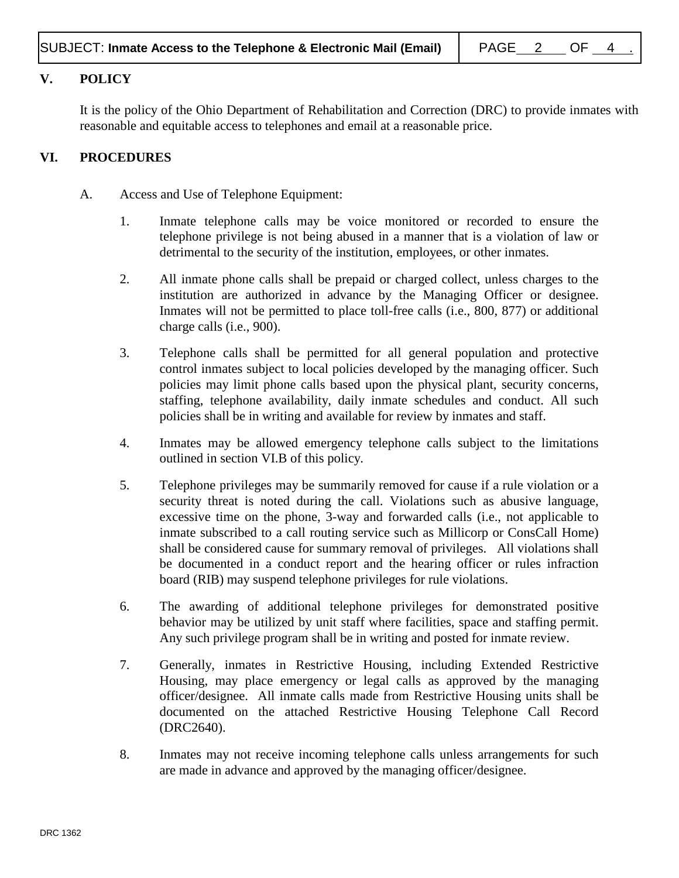## **V. POLICY**

It is the policy of the Ohio Department of Rehabilitation and Correction (DRC) to provide inmates with reasonable and equitable access to telephones and email at a reasonable price.

## **VI. PROCEDURES**

- A. Access and Use of Telephone Equipment:
	- 1. Inmate telephone calls may be voice monitored or recorded to ensure the telephone privilege is not being abused in a manner that is a violation of law or detrimental to the security of the institution, employees, or other inmates.
	- 2. All inmate phone calls shall be prepaid or charged collect, unless charges to the institution are authorized in advance by the Managing Officer or designee. Inmates will not be permitted to place toll-free calls (i.e., 800, 877) or additional charge calls (i.e., 900).
	- 3. Telephone calls shall be permitted for all general population and protective control inmates subject to local policies developed by the managing officer. Such policies may limit phone calls based upon the physical plant, security concerns, staffing, telephone availability, daily inmate schedules and conduct. All such policies shall be in writing and available for review by inmates and staff.
	- 4. Inmates may be allowed emergency telephone calls subject to the limitations outlined in section VI.B of this policy.
	- 5. Telephone privileges may be summarily removed for cause if a rule violation or a security threat is noted during the call. Violations such as abusive language, excessive time on the phone, 3-way and forwarded calls (i.e., not applicable to inmate subscribed to a call routing service such as Millicorp or ConsCall Home) shall be considered cause for summary removal of privileges. All violations shall be documented in a conduct report and the hearing officer or rules infraction board (RIB) may suspend telephone privileges for rule violations.
	- 6. The awarding of additional telephone privileges for demonstrated positive behavior may be utilized by unit staff where facilities, space and staffing permit. Any such privilege program shall be in writing and posted for inmate review.
	- 7. Generally, inmates in Restrictive Housing, including Extended Restrictive Housing, may place emergency or legal calls as approved by the managing officer/designee. All inmate calls made from Restrictive Housing units shall be documented on the attached Restrictive Housing Telephone Call Record (DRC2640).
	- 8. Inmates may not receive incoming telephone calls unless arrangements for such are made in advance and approved by the managing officer/designee.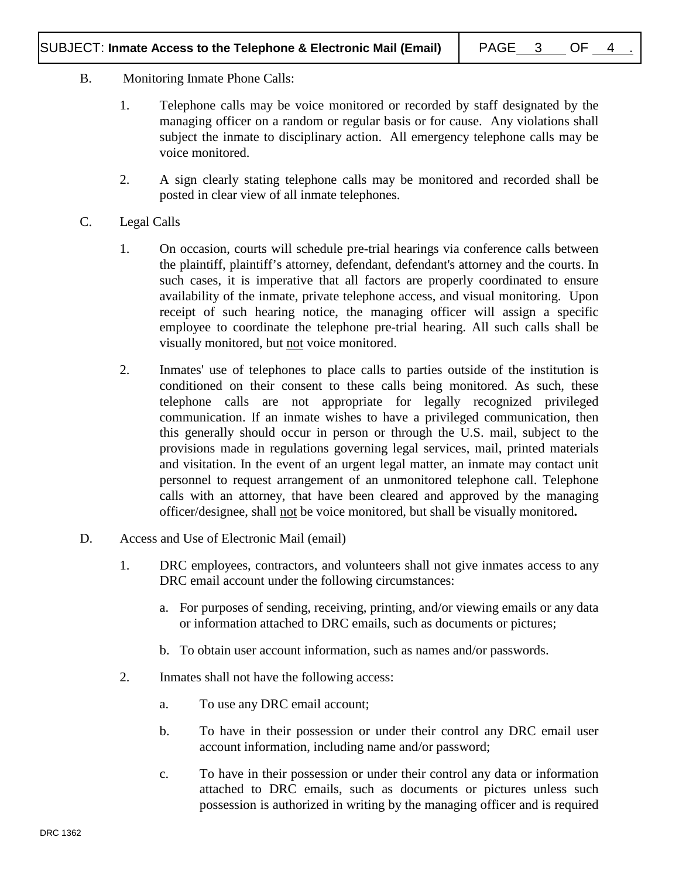- B. Monitoring Inmate Phone Calls:
	- 1. Telephone calls may be voice monitored or recorded by staff designated by the managing officer on a random or regular basis or for cause. Any violations shall subject the inmate to disciplinary action. All emergency telephone calls may be voice monitored.
	- 2. A sign clearly stating telephone calls may be monitored and recorded shall be posted in clear view of all inmate telephones.
- C. Legal Calls
	- 1. On occasion, courts will schedule pre-trial hearings via conference calls between the plaintiff, plaintiff's attorney, defendant, defendant's attorney and the courts. In such cases, it is imperative that all factors are properly coordinated to ensure availability of the inmate, private telephone access, and visual monitoring. Upon receipt of such hearing notice, the managing officer will assign a specific employee to coordinate the telephone pre-trial hearing. All such calls shall be visually monitored, but not voice monitored.
	- 2. Inmates' use of telephones to place calls to parties outside of the institution is conditioned on their consent to these calls being monitored. As such, these telephone calls are not appropriate for legally recognized privileged communication. If an inmate wishes to have a privileged communication, then this generally should occur in person or through the U.S. mail, subject to the provisions made in regulations governing legal services, mail, printed materials and visitation. In the event of an urgent legal matter, an inmate may contact unit personnel to request arrangement of an unmonitored telephone call. Telephone calls with an attorney, that have been cleared and approved by the managing officer/designee, shall not be voice monitored, but shall be visually monitored**.**
- D. Access and Use of Electronic Mail (email)
	- 1. DRC employees, contractors, and volunteers shall not give inmates access to any DRC email account under the following circumstances:
		- a. For purposes of sending, receiving, printing, and/or viewing emails or any data or information attached to DRC emails, such as documents or pictures;
		- b. To obtain user account information, such as names and/or passwords.
	- 2. Inmates shall not have the following access:
		- a. To use any DRC email account;
		- b. To have in their possession or under their control any DRC email user account information, including name and/or password;
		- c. To have in their possession or under their control any data or information attached to DRC emails, such as documents or pictures unless such possession is authorized in writing by the managing officer and is required